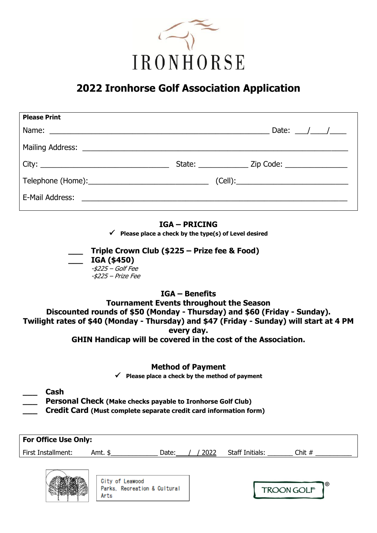

# **2022 Ironhorse Golf Association Application**

| <b>Please Print</b> |                                                               |
|---------------------|---------------------------------------------------------------|
|                     | Date: $\frac{\sqrt{2}}{2}$                                    |
|                     |                                                               |
|                     | State: ______________________ Zip Code: _____________________ |
|                     |                                                               |
|                     |                                                               |

### **IGA – PRICING**

**Please place a check by the type(s) of Level desired**

**\_\_\_ Triple Crown Club (\$225 – Prize fee & Food) \_\_\_ IGA (\$450)** -\$225 – Golf Fee  $-$ \$225 – Prize Fee

## **IGA – Benefits Tournament Events throughout the Season Discounted rounds of \$50 (Monday - Thursday) and \$60 (Friday - Sunday). Twilight rates of \$40 (Monday - Thursday) and \$47 (Friday - Sunday) will start at 4 PM every day. GHIN Handicap will be covered in the cost of the Association.**

### **Method of Payment**

**Please place a check by the method of payment**

- **\_\_\_ Cash**
- **\_\_\_ Personal Check (Make checks payable to Ironhorse Golf Club)**
- **\_\_\_ Credit Card (Must complete separate credit card information form)**

| <b>For Office Use Only:</b> |                 |       |      |                        |          |  |
|-----------------------------|-----------------|-------|------|------------------------|----------|--|
| First Installment:          | Amt. \$         | Date: | 2022 | <b>Staff Initials:</b> | Chit $#$ |  |
|                             |                 |       |      |                        |          |  |
| <b>AUTORITY AND THE</b>     | Pity of Loopeed |       |      |                        |          |  |



**TROON GOLF**